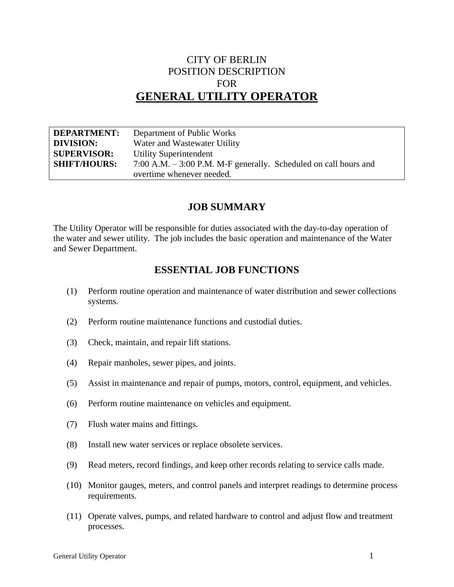# CITY OF BERLIN POSITION DESCRIPTION FOR **GENERAL UTILITY OPERATOR**

| <b>DEPARTMENT:</b>  | Department of Public Works                                          |
|---------------------|---------------------------------------------------------------------|
| <b>DIVISION:</b>    | Water and Wastewater Utility                                        |
| <b>SUPERVISOR:</b>  | <b>Utility Superintendent</b>                                       |
| <b>SHIFT/HOURS:</b> | $7:00$ A.M. $-3:00$ P.M. M-F generally. Scheduled on call hours and |
|                     | overtime whenever needed.                                           |

### **JOB SUMMARY**

The Utility Operator will be responsible for duties associated with the day-to-day operation of the water and sewer utility. The job includes the basic operation and maintenance of the Water and Sewer Department.

## **ESSENTIAL JOB FUNCTIONS**

- (1) Perform routine operation and maintenance of water distribution and sewer collections systems.
- (2) Perform routine maintenance functions and custodial duties.
- (3) Check, maintain, and repair lift stations.
- (4) Repair manholes, sewer pipes, and joints.
- (5) Assist in maintenance and repair of pumps, motors, control, equipment, and vehicles.
- (6) Perform routine maintenance on vehicles and equipment.
- (7) Flush water mains and fittings.
- (8) Install new water services or replace obsolete services.
- (9) Read meters, record findings, and keep other records relating to service calls made.
- (10) Monitor gauges, meters, and control panels and interpret readings to determine process requirements.
- (11) Operate valves, pumps, and related hardware to control and adjust flow and treatment processes.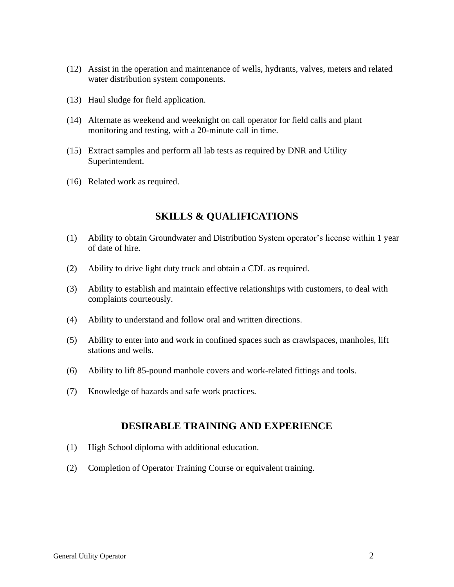- (12) Assist in the operation and maintenance of wells, hydrants, valves, meters and related water distribution system components.
- (13) Haul sludge for field application.
- (14) Alternate as weekend and weeknight on call operator for field calls and plant monitoring and testing, with a 20-minute call in time.
- (15) Extract samples and perform all lab tests as required by DNR and Utility Superintendent.
- (16) Related work as required.

## **SKILLS & QUALIFICATIONS**

- (1) Ability to obtain Groundwater and Distribution System operator's license within 1 year of date of hire.
- (2) Ability to drive light duty truck and obtain a CDL as required.
- (3) Ability to establish and maintain effective relationships with customers, to deal with complaints courteously.
- (4) Ability to understand and follow oral and written directions.
- (5) Ability to enter into and work in confined spaces such as crawlspaces, manholes, lift stations and wells.
- (6) Ability to lift 85-pound manhole covers and work-related fittings and tools.
- (7) Knowledge of hazards and safe work practices.

### **DESIRABLE TRAINING AND EXPERIENCE**

- (1) High School diploma with additional education.
- (2) Completion of Operator Training Course or equivalent training.